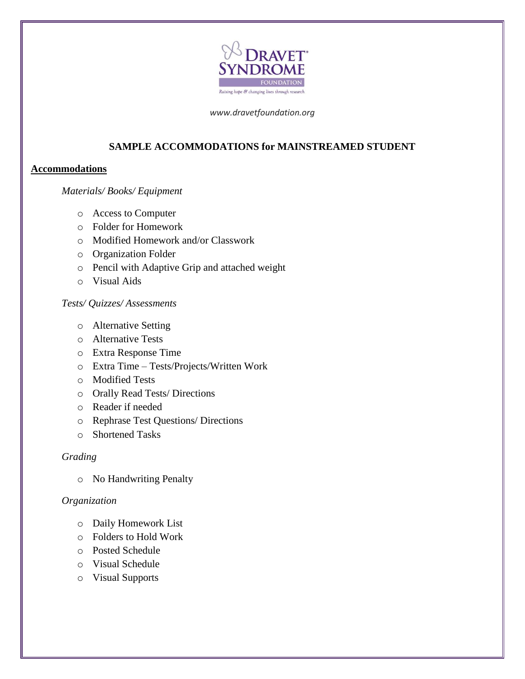

*www.dravetfoundation.org*

# **SAMPLE ACCOMMODATIONS for MAINSTREAMED STUDENT**

## **Accommodations**

### *Materials/ Books/ Equipment*

- o Access to Computer
- o Folder for Homework
- o Modified Homework and/or Classwork
- o Organization Folder
- o Pencil with Adaptive Grip and attached weight
- o Visual Aids

# *Tests/ Quizzes/ Assessments*

- o Alternative Setting
- o Alternative Tests
- o Extra Response Time
- o Extra Time Tests/Projects/Written Work
- o Modified Tests
- o Orally Read Tests/ Directions
- o Reader if needed
- o Rephrase Test Questions/ Directions
- o Shortened Tasks

#### *Grading*

o No Handwriting Penalty

### *Organization*

- o Daily Homework List
- o Folders to Hold Work
- o Posted Schedule
- o Visual Schedule
- o Visual Supports